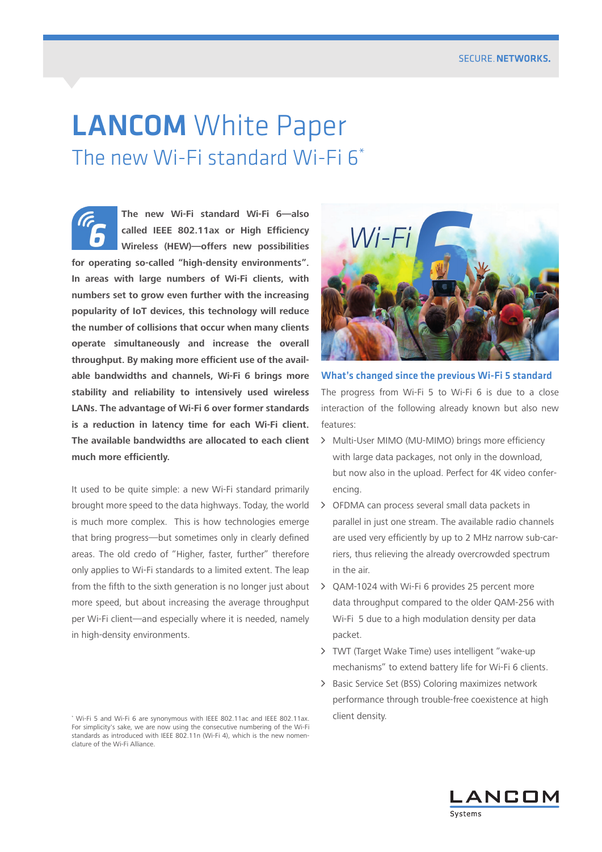# **LANCOM** White Paper The new Wi-Fi standard Wi-Fi 6\*

**The new Wi-Fi standard Wi-Fi 6—also called IEEE 802.11ax or High Efficiency Wireless (HEW)—offers new possibilities for operating so-called "high-density environments". In areas with large numbers of Wi-Fi clients, with numbers set to grow even further with the increasing popularity of IoT devices, this technology will reduce the number of collisions that occur when many clients operate simultaneously and increase the overall throughput. By making more efficient use of the available bandwidths and channels, Wi-Fi 6 brings more stability and reliability to intensively used wireless LANs. The advantage of Wi-Fi 6 over former standards is a reduction in latency time for each Wi-Fi client. The available bandwidths are allocated to each client much more efficiently.**

It used to be quite simple: a new Wi-Fi standard primarily brought more speed to the data highways. Today, the world is much more complex. This is how technologies emerge that bring progress—but sometimes only in clearly defined areas. The old credo of "Higher, faster, further" therefore only applies to Wi-Fi standards to a limited extent. The leap from the fifth to the sixth generation is no longer just about more speed, but about increasing the average throughput per Wi-Fi client—and especially where it is needed, namely in high-density environments.



What's changed since the previous Wi-Fi 5 standard The progress from Wi-Fi 5 to Wi-Fi 6 is due to a close interaction of the following already known but also new features:

- > Multi-User MIMO (MU-MIMO) brings more efficiency with large data packages, not only in the download, but now also in the upload. Perfect for 4K video conferencing.
- > OFDMA can process several small data packets in parallel in just one stream. The available radio channels are used very efficiently by up to 2 MHz narrow sub-carriers, thus relieving the already overcrowded spectrum in the air.
- $\geq$  OAM-1024 with Wi-Fi 6 provides 25 percent more data throughput compared to the older QAM-256 with Wi-Fi 5 due to a high modulation density per data packet.
- > TWT (Target Wake Time) uses intelligent "wake-up mechanisms" to extend battery life for Wi-Fi 6 clients.
- > Basic Service Set (BSS) Coloring maximizes network performance through trouble-free coexistence at high



<sup>\*</sup> Wi-Fi 5 and Wi-Fi 6 are synonymous with IEEE 802.11ac and IEEE 802.11ax. Client density. For simplicity's sake, we are now using the consecutive numbering of the Wi-Fi standards as introduced with IEEE 802.11n (Wi-Fi 4), which is the new nomenclature of the Wi-Fi Alliance.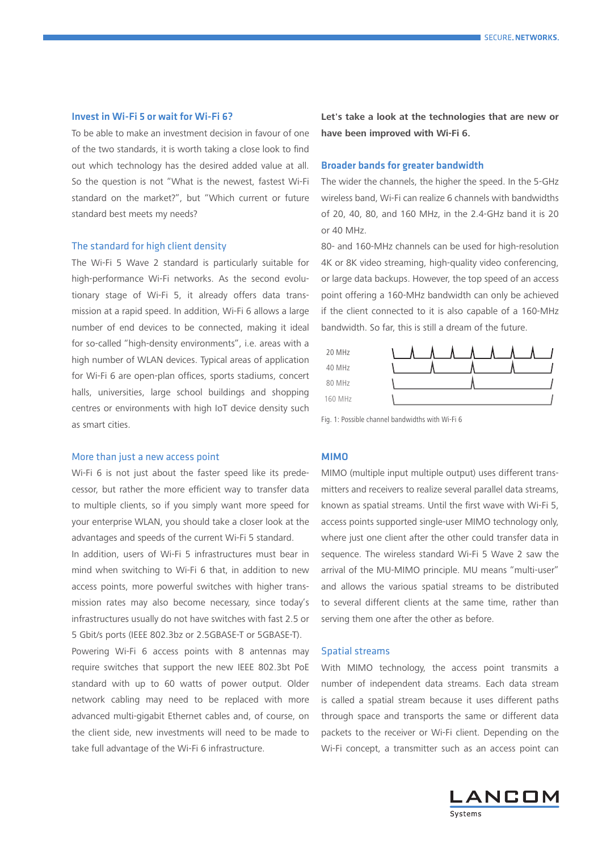# Invest in Wi-Fi 5 or wait for Wi-Fi 6?

To be able to make an investment decision in favour of one of the two standards, it is worth taking a close look to find out which technology has the desired added value at all. So the question is not "What is the newest, fastest Wi-Fi standard on the market?", but "Which current or future standard best meets my needs?

#### The standard for high client density

The Wi-Fi 5 Wave 2 standard is particularly suitable for high-performance Wi-Fi networks. As the second evolutionary stage of Wi-Fi 5, it already offers data transmission at a rapid speed. In addition, Wi-Fi 6 allows a large number of end devices to be connected, making it ideal for so-called "high-density environments", i.e. areas with a high number of WLAN devices. Typical areas of application for Wi-Fi 6 are open-plan offices, sports stadiums, concert halls, universities, large school buildings and shopping centres or environments with high IoT device density such as smart cities.

#### More than just a new access point

Wi-Fi 6 is not just about the faster speed like its predecessor, but rather the more efficient way to transfer data to multiple clients, so if you simply want more speed for your enterprise WLAN, you should take a closer look at the advantages and speeds of the current Wi-Fi 5 standard.

In addition, users of Wi-Fi 5 infrastructures must bear in mind when switching to Wi-Fi 6 that, in addition to new access points, more powerful switches with higher transmission rates may also become necessary, since today's infrastructures usually do not have switches with fast 2.5 or 5 Gbit/s ports (IEEE 802.3bz or 2.5GBASE-T or 5GBASE-T).

Powering Wi-Fi 6 access points with 8 antennas may require switches that support the new IEEE 802.3bt PoE standard with up to 60 watts of power output. Older network cabling may need to be replaced with more advanced multi-gigabit Ethernet cables and, of course, on the client side, new investments will need to be made to take full advantage of the Wi-Fi 6 infrastructure.

**Let's take a look at the technologies that are new or have been improved with Wi-Fi 6.**

# Broader bands for greater bandwidth

The wider the channels, the higher the speed. In the 5-GHz wireless band, Wi-Fi can realize 6 channels with bandwidths of 20, 40, 80, and 160 MHz, in the 2.4-GHz band it is 20 or 40 MHz.

80- and 160-MHz channels can be used for high-resolution 4K or 8K video streaming, high-quality video conferencing, or large data backups. However, the top speed of an access point offering a 160-MHz bandwidth can only be achieved if the client connected to it is also capable of a 160-MHz bandwidth. So far, this is still a dream of the future.



Fig. 1: Possible channel bandwidths with Wi-Fi 6

# MIMO

MIMO (multiple input multiple output) uses different transmitters and receivers to realize several parallel data streams, known as spatial streams. Until the first wave with Wi-Fi 5, access points supported single-user MIMO technology only, where just one client after the other could transfer data in sequence. The wireless standard Wi-Fi 5 Wave 2 saw the arrival of the MU-MIMO principle. MU means "multi-user" and allows the various spatial streams to be distributed to several different clients at the same time, rather than serving them one after the other as before.

#### Spatial streams

With MIMO technology, the access point transmits a number of independent data streams. Each data stream is called a spatial stream because it uses different paths through space and transports the same or different data packets to the receiver or Wi-Fi client. Depending on the Wi-Fi concept, a transmitter such as an access point can

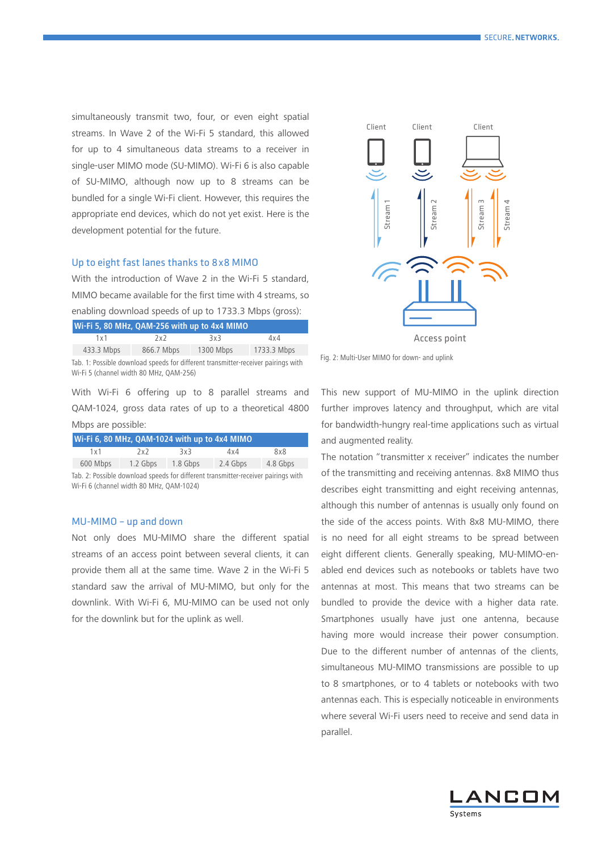simultaneously transmit two, four, or even eight spatial streams. In Wave 2 of the Wi-Fi 5 standard, this allowed for up to 4 simultaneous data streams to a receiver in single-user MIMO mode (SU-MIMO). Wi-Fi 6 is also capable of SU-MIMO, although now up to 8 streams can be bundled for a single Wi-Fi client. However, this requires the appropriate end devices, which do not yet exist. Here is the development potential for the future.

# Up to eight fast lanes thanks to 8x8 MIMO

With the introduction of Wave 2 in the Wi-Fi 5 standard, MIMO became available for the first time with 4 streams, so enabling download speeds of up to 1733.3 Mbps (gross):

| Wi-Fi 5, 80 MHz, QAM-256 with up to 4x4 MIMO                                                                                 |            |           |             |  |  |  |
|------------------------------------------------------------------------------------------------------------------------------|------------|-----------|-------------|--|--|--|
| 1x1                                                                                                                          | 2x2        | 3x3       | 4x4         |  |  |  |
| 433.3 Mbps                                                                                                                   | 866.7 Mbps | 1300 Mbps | 1733.3 Mbps |  |  |  |
| Tab. 1: Possible download speeds for different transmitter-receiver pairings with<br>Wi-Fi 5 (channel width 80 MHz, OAM-256) |            |           |             |  |  |  |

With Wi-Fi 6 offering up to 8 parallel streams and QAM-1024, gross data rates of up to a theoretical 4800 Mbps are possible:

| Wi-Fi 6, 80 MHz, QAM-1024 with up to 4x4 MIMO                                                                                 |          |          |          |          |  |  |
|-------------------------------------------------------------------------------------------------------------------------------|----------|----------|----------|----------|--|--|
| 1x1                                                                                                                           | 2x2      | 3x3      | 4x4      | 8x8      |  |  |
| 600 Mbps                                                                                                                      | 1.2 Gbps | 1.8 Gbps | 2.4 Gbps | 4.8 Gbps |  |  |
| Tab. 2: Possible download speeds for different transmitter-receiver pairings with<br>Wi-Fi 6 (channel width 80 MHz, QAM-1024) |          |          |          |          |  |  |

#### MU-MIMO – up and down

Not only does MU-MIMO share the different spatial streams of an access point between several clients, it can provide them all at the same time. Wave 2 in the Wi-Fi 5 standard saw the arrival of MU-MIMO, but only for the downlink. With Wi-Fi 6, MU-MIMO can be used not only for the downlink but for the uplink as well.



Fig. 2: Multi-User MIMO for down- and uplink

This new support of MU-MIMO in the uplink direction further improves latency and throughput, which are vital for bandwidth-hungry real-time applications such as virtual and augmented reality.

The notation "transmitter x receiver" indicates the number of the transmitting and receiving antennas. 8x8 MIMO thus describes eight transmitting and eight receiving antennas, although this number of antennas is usually only found on the side of the access points. With 8x8 MU-MIMO, there is no need for all eight streams to be spread between eight different clients. Generally speaking, MU-MIMO-enabled end devices such as notebooks or tablets have two antennas at most. This means that two streams can be bundled to provide the device with a higher data rate. Smartphones usually have just one antenna, because having more would increase their power consumption. Due to the different number of antennas of the clients, simultaneous MU-MIMO transmissions are possible to up to 8 smartphones, or to 4 tablets or notebooks with two antennas each. This is especially noticeable in environments where several Wi-Fi users need to receive and send data in parallel.

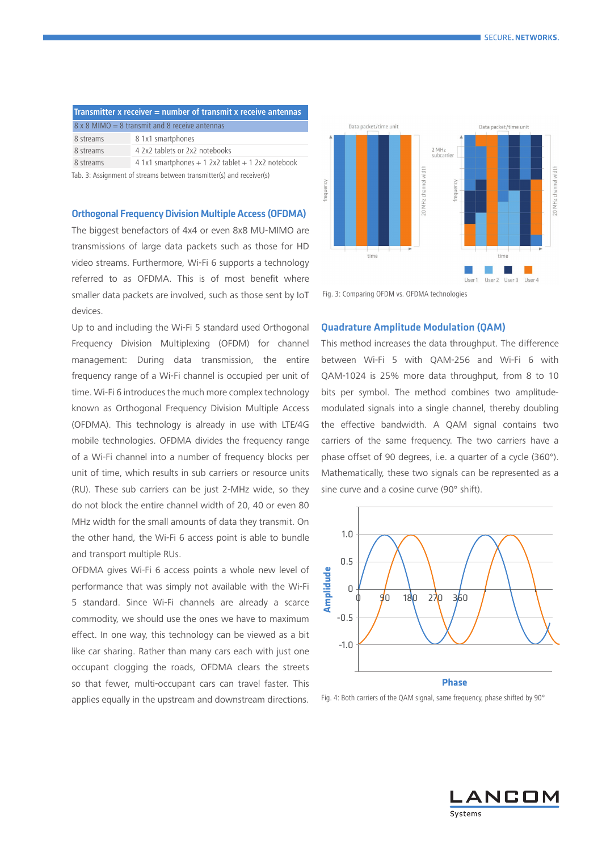| <b>Transmitter x receiver = number of transmit x receive antennas</b> |                                                                      |  |  |  |
|-----------------------------------------------------------------------|----------------------------------------------------------------------|--|--|--|
| $8 \times 8$ MIMO = 8 transmit and 8 receive antennas                 |                                                                      |  |  |  |
| 8 streams                                                             | 8 1x1 smartphones                                                    |  |  |  |
| 8 streams                                                             | 4 2x2 tablets or 2x2 notebooks                                       |  |  |  |
| 8 streams                                                             | $4$ 1x1 smartphones $+$ 1 2x2 tablet $+$ 1 2x2 notebook              |  |  |  |
|                                                                       | Tab. 3: Assignment of streams between transmitter(s) and receiver(s) |  |  |  |

# Orthogonal Frequency Division Multiple Access (OFDMA)

The biggest benefactors of 4x4 or even 8x8 MU-MIMO are transmissions of large data packets such as those for HD video streams. Furthermore, Wi-Fi 6 supports a technology referred to as OFDMA. This is of most benefit where smaller data packets are involved, such as those sent by IoT devices.

Up to and including the Wi-Fi 5 standard used Orthogonal Frequency Division Multiplexing (OFDM) for channel management: During data transmission, the entire frequency range of a Wi-Fi channel is occupied per unit of time. Wi-Fi 6 introduces the much more complex technology known as Orthogonal Frequency Division Multiple Access (OFDMA). This technology is already in use with LTE/4G mobile technologies. OFDMA divides the frequency range of a Wi-Fi channel into a number of frequency blocks per unit of time, which results in sub carriers or resource units (RU). These sub carriers can be just 2-MHz wide, so they do not block the entire channel width of 20, 40 or even 80 MHz width for the small amounts of data they transmit. On the other hand, the Wi-Fi 6 access point is able to bundle and transport multiple RUs.

OFDMA gives Wi-Fi 6 access points a whole new level of performance that was simply not available with the Wi-Fi 5 standard. Since Wi-Fi channels are already a scarce commodity, we should use the ones we have to maximum effect. In one way, this technology can be viewed as a bit like car sharing. Rather than many cars each with just one occupant clogging the roads, OFDMA clears the streets so that fewer, multi-occupant cars can travel faster. This applies equally in the upstream and downstream directions.



Fig. 3: Comparing OFDM vs. OFDMA technologies

# Quadrature Amplitude Modulation (QAM)

This method increases the data throughput. The difference between Wi-Fi 5 with QAM-256 and Wi-Fi 6 with QAM-1024 is 25% more data throughput, from 8 to 10 bits per symbol. The method combines two amplitudemodulated signals into a single channel, thereby doubling the effective bandwidth. A QAM signal contains two carriers of the same frequency. The two carriers have a phase offset of 90 degrees, i.e. a quarter of a cycle (360°). Mathematically, these two signals can be represented as a sine curve and a cosine curve (90° shift).



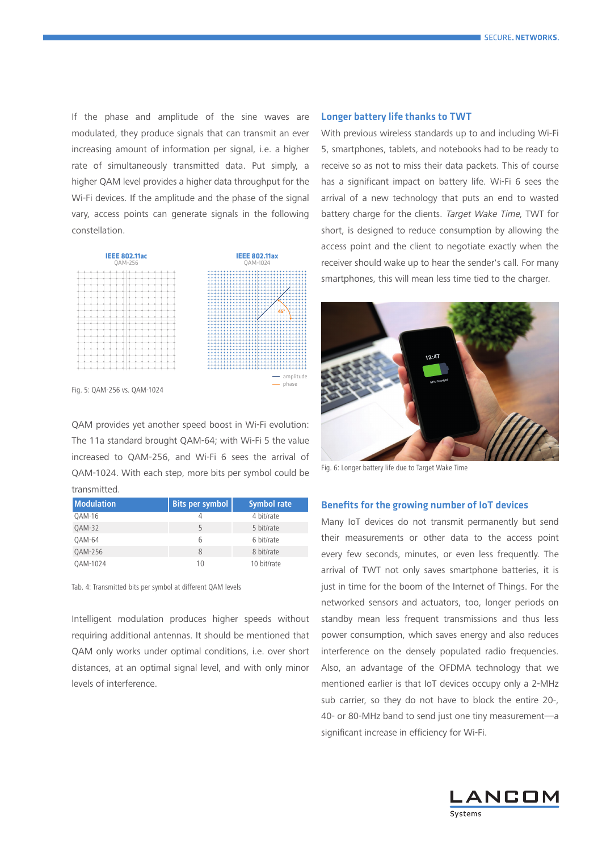If the phase and amplitude of the sine waves are modulated, they produce signals that can transmit an ever increasing amount of information per signal, i.e. a higher rate of simultaneously transmitted data. Put simply, a higher QAM level provides a higher data throughput for the Wi-Fi devices. If the amplitude and the phase of the signal vary, access points can generate signals in the following constellation.



Fig. 5: QAM-256 vs. QAM-1024

QAM provides yet another speed boost in Wi-Fi evolution: The 11a standard brought QAM-64; with Wi-Fi 5 the value increased to QAM-256, and Wi-Fi 6 sees the arrival of QAM-1024. With each step, more bits per symbol could be transmitted.

| <b>Modulation</b> | Bits per symbol | <b>Symbol rate</b> |
|-------------------|-----------------|--------------------|
| <b>OAM-16</b>     |                 | 4 bit/rate         |
| QAM-32            | 5               | 5 bit/rate         |
| <b>OAM-64</b>     | 6               | 6 bit/rate         |
| QAM-256           | 8               | 8 bit/rate         |
| OAM-1024          | 10              | 10 bit/rate        |

Tab. 4: Transmitted bits per symbol at different QAM levels

Intelligent modulation produces higher speeds without requiring additional antennas. It should be mentioned that QAM only works under optimal conditions, i.e. over short distances, at an optimal signal level, and with only minor levels of interference.

## Longer battery life thanks to TWT

With previous wireless standards up to and including Wi-Fi 5, smartphones, tablets, and notebooks had to be ready to receive so as not to miss their data packets. This of course has a significant impact on battery life. Wi-Fi 6 sees the arrival of a new technology that puts an end to wasted battery charge for the clients. Target Wake Time, TWT for short, is designed to reduce consumption by allowing the access point and the client to negotiate exactly when the receiver should wake up to hear the sender's call. For many smartphones, this will mean less time tied to the charger.



Fig. 6: Longer battery life due to Target Wake Time

# Benefits for the growing number of IoT devices

Many IoT devices do not transmit permanently but send their measurements or other data to the access point every few seconds, minutes, or even less frequently. The arrival of TWT not only saves smartphone batteries, it is just in time for the boom of the Internet of Things. For the networked sensors and actuators, too, longer periods on standby mean less frequent transmissions and thus less power consumption, which saves energy and also reduces interference on the densely populated radio frequencies. Also, an advantage of the OFDMA technology that we mentioned earlier is that IoT devices occupy only a 2-MHz sub carrier, so they do not have to block the entire 20-, 40- or 80-MHz band to send just one tiny measurement—a significant increase in efficiency for Wi-Fi.

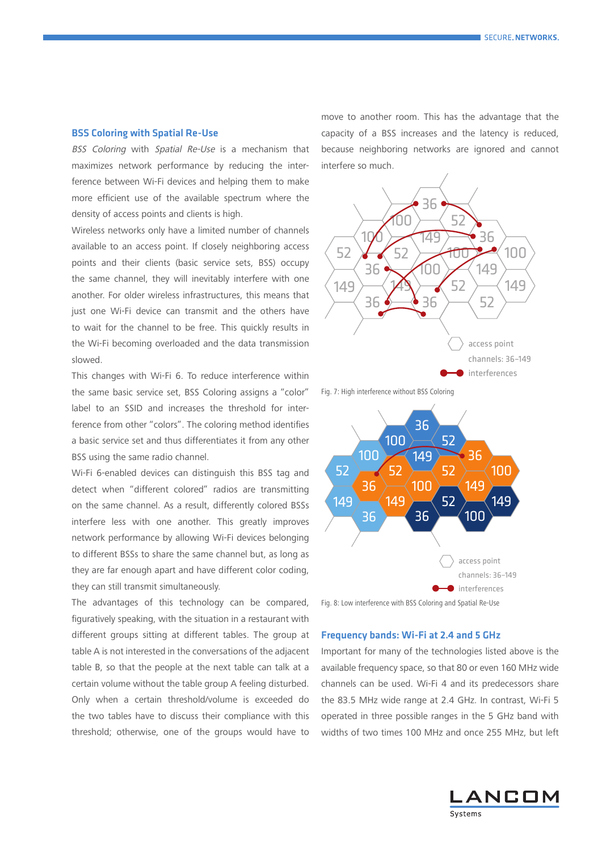#### BSS Coloring with Spatial Re-Use

BSS Coloring with Spatial Re-Use is a mechanism that maximizes network performance by reducing the interference between Wi-Fi devices and helping them to make more efficient use of the available spectrum where the density of access points and clients is high.

Wireless networks only have a limited number of channels available to an access point. If closely neighboring access points and their clients (basic service sets, BSS) occupy the same channel, they will inevitably interfere with one another. For older wireless infrastructures, this means that just one Wi-Fi device can transmit and the others have to wait for the channel to be free. This quickly results in the Wi-Fi becoming overloaded and the data transmission slowed.

This changes with Wi-Fi 6. To reduce interference within the same basic service set, BSS Coloring assigns a "color" label to an SSID and increases the threshold for interference from other "colors". The coloring method identifies a basic service set and thus differentiates it from any other BSS using the same radio channel.

Wi-Fi 6-enabled devices can distinguish this BSS tag and detect when "different colored" radios are transmitting on the same channel. As a result, differently colored BSSs interfere less with one another. This greatly improves network performance by allowing Wi-Fi devices belonging to different BSSs to share the same channel but, as long as they are far enough apart and have different color coding, they can still transmit simultaneously.

The advantages of this technology can be compared, figuratively speaking, with the situation in a restaurant with different groups sitting at different tables. The group at table A is not interested in the conversations of the adjacent table B, so that the people at the next table can talk at a certain volume without the table group A feeling disturbed. Only when a certain threshold/volume is exceeded do the two tables have to discuss their compliance with this threshold; otherwise, one of the groups would have to move to another room. This has the advantage that the capacity of a BSS increases and the latency is reduced, because neighboring networks are ignored and cannot interfere so much.



Fig. 7: High interference without BSS Coloring





# Frequency bands: Wi-Fi at 2.4 and 5 GHz

available frequency space, so that 80 or even 160 MHz wide Important for many of the technologies listed above is the channels can be used. Wi-Fi 4 and its predecessors share the 83.5 MHz wide range at 2.4 GHz. In contrast, Wi-Fi 5 operated in three possible ranges in the 5 GHz band with widths of two times 100 MHz and once 255 MHz, but left